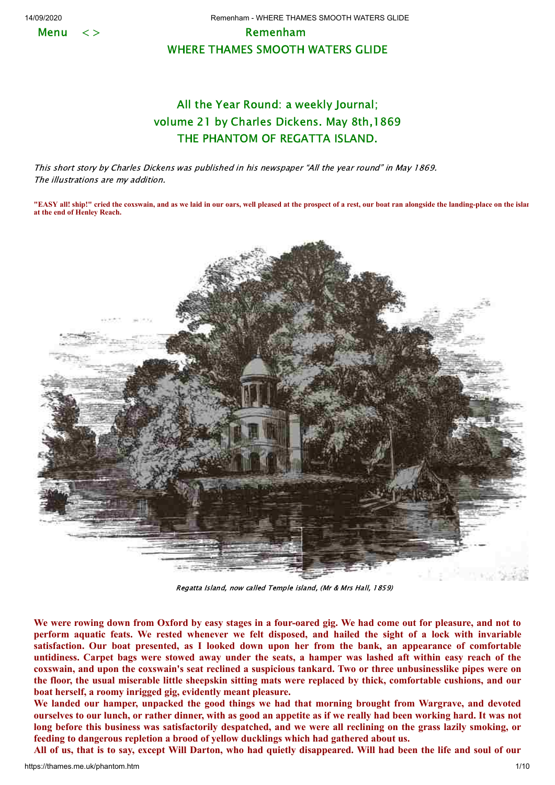**Menu** 

14/09/2020 Remenham - WHERE THAMES SMOOTH WATERS GLIDE

## Remenham WHERE THAMES SMOOTH WATERS GLIDE

## All the Year Round: a weekly Journal; volume 21 by Charles Dickens. May 8th,1869 THE PHANTOM OF REGATTA ISLAND.

This short story by Charles Dickens was published in his newspaper "All the year round" in May 1869. The illustrations are my addition.

**"EASY all! ship!" cried the coxswain, and as we laid in our oars, well pleased at the prospect of a rest, our boat ran alongside the landing-place on the islan at the end of Henley Reach.**



Regatta Island, now called Temple island, (Mr & Mrs Hall, 1859)

We were rowing down from Oxford by easy stages in a four-oared gig. We had come out for pleasure, and not to perform aquatic feats. We rested whenever we felt disposed, and hailed the sight of a lock with invariable **satisfaction. Our boat presented, as I looked down upon her from the bank, an appearance of comfortable** untidiness. Carpet bags were stowed away under the seats, a hamper was lashed aft within easy reach of the coxswain, and upon the coxswain's seat reclined a suspicious tankard. Two or three unbusinesslike pipes were on the floor, the usual miserable little sheepskin sitting mats were replaced by thick, comfortable cushions, and our **boat herself, a roomy inrigged gig, evidently meant pleasure.**

**We landed our hamper, unpacked the good things we had that morning brought from Wargrave, and devoted** ourselves to our lunch, or rather dinner, with as good an appetite as if we really had been working hard. It was not long before this business was satisfactorily despatched, and we were all reclining on the grass lazily smoking, or **feeding to dangerous repletion a brood of yellow ducklings which had gathered about us.**

All of us, that is to say, except Will Darton, who had quietly disappeared. Will had been the life and soul of our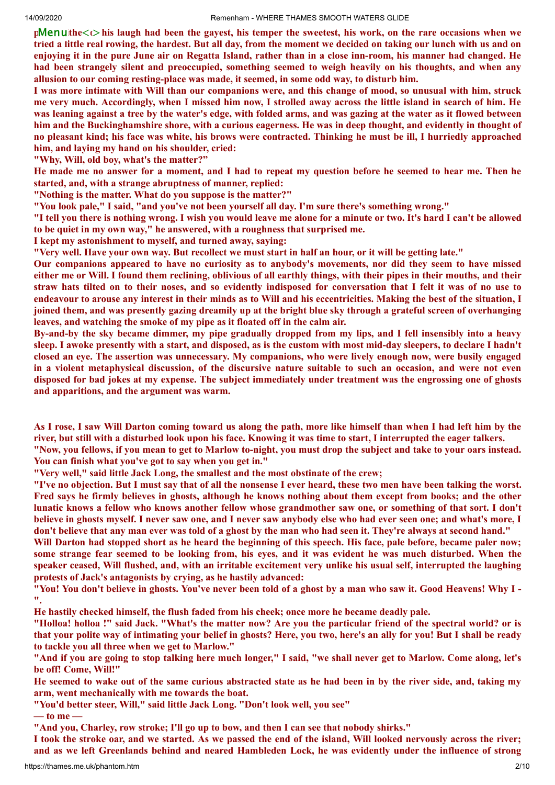pMenuthe<t>his laugh had been the gayest, his temper the sweetest, his work, on the rare occasions when we tried a little real rowing, the hardest. But all day, from the moment we decided on taking our lunch with us and on enjoying it in the pure June air on Regatta Island, rather than in a close inn-room, his manner had changed. He had been strangely silent and preoccupied, something seemed to weigh heavily on his thoughts, and when any **allusion to our coming resting-place was made, it seemed, in some odd way, to disturb him.**

I was more intimate with Will than our companions were, and this change of mood, so unusual with him, struck me very much. Accordingly, when I missed him now, I strolled away across the little island in search of him. He was leaning against a tree by the water's edge, with folded arms, and was gazing at the water as it flowed between him and the Buckinghamshire shore, with a curious eagerness. He was in deep thought, and evidently in thought of no pleasant kind; his face was white, his brows were contracted. Thinking he must be ill, I hurriedly approached **him, and laying my hand on his shoulder, cried:**

**"Why, Will, old boy, what's the matter?"**

He made me no answer for a moment, and I had to repeat my question before he seemed to hear me. Then he **started, and, with a strange abruptness of manner, replied:**

**"Nothing is the matter. What do you suppose is the matter?"**

**"You look pale," I said, "and you've not been yourself all day. I'm sure there's something wrong."**

"I tell you there is nothing wrong. I wish you would leave me alone for a minute or two. It's hard I can't be allowed **to be quiet in my own way," he answered, with a roughness that surprised me.**

**I kept my astonishment to myself, and turned away, saying:**

"Very well. Have your own way. But recollect we must start in half an hour, or it will be getting late."

Our companions appeared to have no curiosity as to anybody's movements, nor did they seem to have missed either me or Will. I found them reclining, oblivious of all earthly things, with their pipes in their mouths, and their straw hats tilted on to their noses, and so evidently indisposed for conversation that I felt it was of no use to endeavour to arouse any interest in their minds as to Will and his eccentricities. Making the best of the situation, I joined them, and was presently gazing dreamily up at the bright blue sky through a grateful screen of overhanging **leaves, and watching the smoke of my pipe as it floated off in the calm air.**

By-and-by the sky became dimmer, my pipe gradually dropped from my lips, and I fell insensibly into a heavy sleep. I awoke presently with a start, and disposed, as is the custom with most mid-day sleepers, to declare I hadn't closed an eye. The assertion was unnecessary. My companions, who were lively enough now, were busily engaged in a violent metaphysical discussion, of the discursive nature suitable to such an occasion, and were not even disposed for bad jokes at my expense. The subject immediately under treatment was the engrossing one of ghosts **and apparitions, and the argument was warm.**

As I rose, I saw Will Darton coming toward us along the path, more like himself than when I had left him by the river, but still with a disturbed look upon his face. Knowing it was time to start, I interrupted the eager talkers.

"Now, you fellows, if you mean to get to Marlow to-night, you must drop the subject and take to your oars instead. **You can finish what you've got to say when you get in."**

**"Very well," said little Jack Long, the smallest and the most obstinate of the crew;**

"I've no objection. But I must say that of all the nonsense I ever heard, these two men have been talking the worst. Fred says he firmly believes in ghosts, although he knows nothing about them except from books; and the other lunatic knows a fellow who knows another fellow whose grandmother saw one, or something of that sort. I don't believe in ghosts myself. I never saw one, and I never saw anybody else who had ever seen one; and what's more, I don't believe that any man ever was told of a ghost by the man who had seen it. They're always at second hand."

Will Darton had stopped short as he heard the beginning of this speech. His face, pale before, became paler now; some strange fear seemed to be looking from, his eyes, and it was evident he was much disturbed. When the speaker ceased, Will flushed, and, with an irritable excitement very unlike his usual self, interrupted the laughing **protests of Jack's antagonists by crying, as he hastily advanced:**

"You! You don't believe in ghosts. You've never been told of a ghost by a man who saw it. Good Heavens! Why I -**".**

**He hastily checked himself, the flush faded from his cheek; once more he became deadly pale.**

"Holloa! holloa!" said Jack. "What's the matter now? Are you the particular friend of the spectral world? or is that your polite way of intimating your belief in ghosts? Here, you two, here's an ally for you! But I shall be ready **to tackle you all three when we get to Marlow."**

"And if you are going to stop talking here much longer," I said, "we shall never get to Marlow. Come along, let's **be off! Come, Will!"**

He seemed to wake out of the same curious abstracted state as he had been in by the river side, and, taking my **arm, went mechanically with me towards the boat.**

**"You'd better steer, Will," said little Jack Long. "Don't look well, you see"**

**— to me —**

**"And you, Charley, row stroke; I'll go up to bow, and then I can see that nobody shirks."**

I took the stroke oar, and we started. As we passed the end of the island, Will looked nervously across the river; and as we left Greenlands behind and neared Hambleden Lock, he was evidently under the influence of strong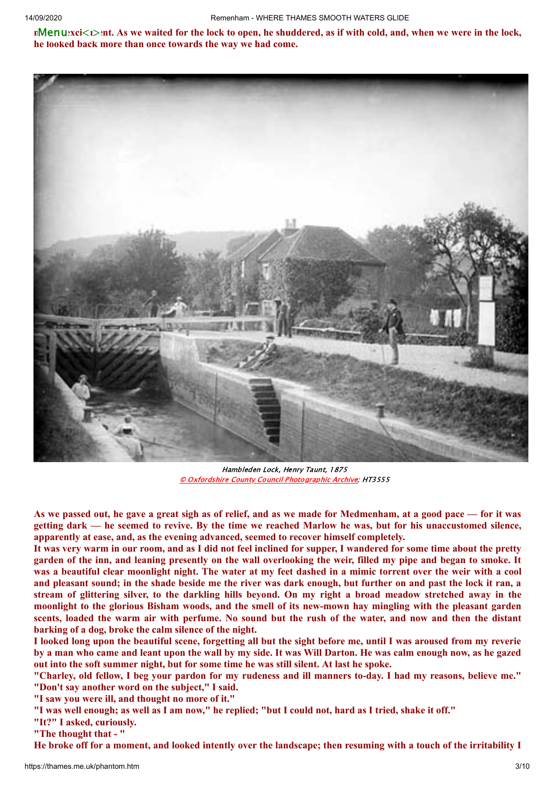nMenuexci<i>ent. As we waited for the lock to open, he shuddered, as if with cold, and, when we were in the lock, **he looked back more than once towards the way we had come.**



Hambleden Lock, Henry Taunt, 1875 © Oxfordshire County Council [Photographic](http://www.oxfordshire.gov.uk/wps/portal/publicsite/doitonline/finditonline/heritage) Archive; HT3555

As we passed out, he gave a great sigh as of relief, and as we made for Medmenham, at a good pace - for it was getting dark — he seemed to revive. By the time we reached Marlow he was, but for his unaccustomed silence, **apparently at ease, and, as the evening advanced, seemed to recover himself completely.**

It was very warm in our room, and as I did not feel inclined for supper, I wandered for some time about the pretty garden of the inn, and leaning presently on the wall overlooking the weir, filled my pipe and began to smoke. It was a beautiful clear moonlight night. The water at my feet dashed in a mimic torrent over the weir with a cool and pleasant sound; in the shade beside me the river was dark enough, but further on and past the lock it ran, a stream of glittering silver, to the darkling hills beyond. On my right a broad meadow stretched away in the moonlight to the glorious Bisham woods, and the smell of its new-mown hay mingling with the pleasant garden scents, loaded the warm air with perfume. No sound but the rush of the water, and now and then the distant **barking of a dog, broke the calm silence of the night.**

I looked long upon the beautiful scene, forgetting all but the sight before me, until I was aroused from my reverie by a man who came and leant upon the wall by my side. It was Will Darton. He was calm enough now, as he gazed **out into the soft summer night, but for some time he was still silent. At last he spoke.**

"Charley, old fellow, I beg your pardon for my rudeness and ill manners to-day. I had my reasons, believe me." **"Don't say another word on the subject," I said.**

**"I saw you were ill, and thought no more of it."**

"I was well enough; as well as I am now," he replied; "but I could not, hard as I tried, shake it off."

**"It?" I asked, curiously.**

**"The thought that - "**

He broke off for a moment, and looked intently over the landscape; then resuming with a touch of the irritability I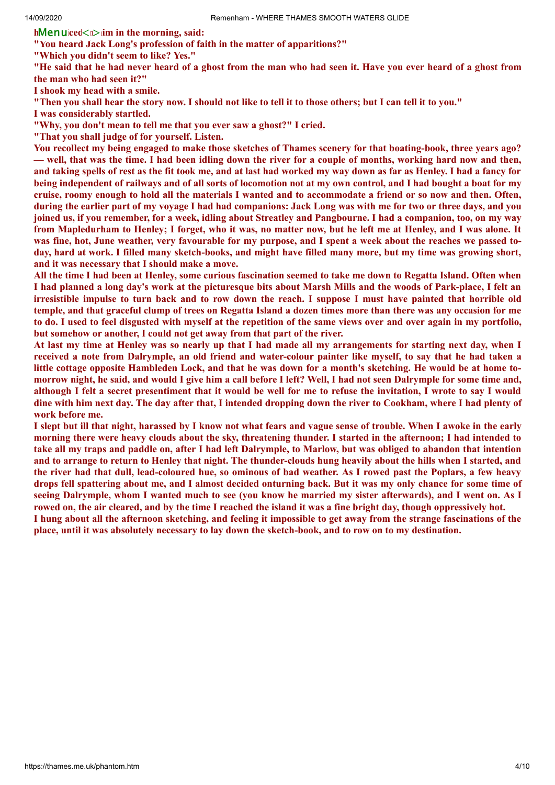**hMenuiced**<u>
im in the morning, said:

**"You heard Jack Long's profession of faith in the matter of apparitions?"**

**"Which you didn't seem to like? Yes."**

"He said that he had never heard of a ghost from the man who had seen it. Have you ever heard of a ghost from **the man who had seen it?"**

**I shook my head with a smile.**

"Then you shall hear the story now. I should not like to tell it to those others; but I can tell it to you."

**I was considerably startled.**

**"Why, you don't mean to tell me that you ever saw a ghost?" I cried.**

**"That you shall judge of for yourself. Listen.**

You recollect my being engaged to make those sketches of Thames scenery for that boating-book, three years ago? — well, that was the time. I had been idling down the river for a couple of months, working hard now and then, and taking spells of rest as the fit took me, and at last had worked my way down as far as Henley. I had a fancy for being independent of railways and of all sorts of locomotion not at my own control, and I had bought a boat for my cruise, roomy enough to hold all the materials I wanted and to accommodate a friend or so now and then. Often, during the earlier part of my voyage I had had companions: Jack Long was with me for two or three days, and you joined us, if you remember, for a week, idling about Streatley and Pangbourne. I had a companion, too, on my way from Mapledurham to Henley; I forget, who it was, no matter now, but he left me at Henley, and I was alone. It was fine, hot, June weather, very favourable for my purpose, and I spent a week about the reaches we passed today, hard at work. I filled many sketch-books, and might have filled many more, but my time was growing short, **and it was necessary that I should make a move.**

All the time I had been at Henley, some curious fascination seemed to take me down to Regatta Island. Often when I had planned a long day's work at the picturesque bits about Marsh Mills and the woods of Park-place, I felt an irresistible impulse to turn back and to row down the reach. I suppose I must have painted that horrible old temple, and that graceful clump of trees on Regatta Island a dozen times more than there was any occasion for me to do. I used to feel disgusted with myself at the repetition of the same views over and over again in my portfolio, **but somehow or another, I could not get away from that part of the river.**

At last my time at Henley was so nearly up that I had made all my arrangements for starting next day, when I received a note from Dalrymple, an old friend and water-colour painter like myself, to say that he had taken a little cottage opposite Hambleden Lock, and that he was down for a month's sketching. He would be at home tomorrow night, he said, and would I give him a call before I left? Well, I had not seen Dalrymple for some time and, although I felt a secret presentiment that it would be well for me to refuse the invitation, I wrote to say I would dine with him next day. The day after that, I intended dropping down the river to Cookham, where I had plenty of **work before me.**

I slept but ill that night, harassed by I know not what fears and vague sense of trouble. When I awoke in the early morning there were heavy clouds about the sky, threatening thunder. I started in the afternoon; I had intended to take all my traps and paddle on, after I had left Dalrymple, to Marlow, but was obliged to abandon that intention and to arrange to return to Henley that night. The thunder-clouds hung heavily about the hills when I started, and the river had that dull, lead-coloured hue, so ominous of bad weather. As I rowed past the Poplars, a few heavy drops fell spattering about me, and I almost decided onturning back. But it was my only chance for some time of seeing Dalrymple, whom I wanted much to see (you know he married my sister afterwards), and I went on. As I rowed on, the air cleared, and by the time I reached the island it was a fine bright day, though oppressively hot.

I hung about all the afternoon sketching, and feeling it impossible to get away from the strange fascinations of the place, until it was absolutely necessary to lay down the sketch-book, and to row on to my destination.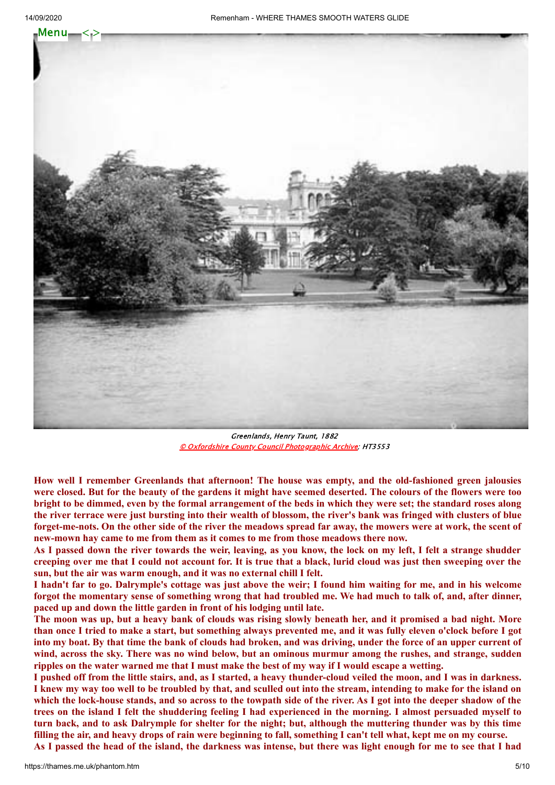

Greenlands, Henry Taunt, 1882 © Oxfordshire County Council [Photographic](http://www.oxfordshire.gov.uk/wps/portal/publicsite/doitonline/finditonline/heritage) Archive; HT3553

**How well I remember Greenlands that afternoon! The house was empty, and the old-fashioned green jalousies** were closed. But for the beauty of the gardens it might have seemed deserted. The colours of the flowers were too bright to be dimmed, even by the formal arrangement of the beds in which they were set; the standard roses along the river terrace were just bursting into their wealth of blossom, the river's bank was fringed with clusters of blue forget-me-nots. On the other side of the river the meadows spread far away, the mowers were at work, the scent of **new-mown hay came to me from them as it comes to me from those meadows there now.**

As I passed down the river towards the weir, leaving, as you know, the lock on my left, I felt a strange shudder creeping over me that I could not account for. It is true that a black, lurid cloud was just then sweeping over the **sun, but the air was warm enough, and it was no external chill I felt.**

I hadn't far to go. Dalrymple's cottage was just above the weir; I found him waiting for me, and in his welcome forgot the momentary sense of something wrong that had troubled me. We had much to talk of, and, after dinner, **paced up and down the little garden in front of his lodging until late.**

The moon was up, but a heavy bank of clouds was rising slowly beneath her, and it promised a bad night. More than once I tried to make a start, but something always prevented me, and it was fully eleven o'clock before I got into my boat. By that time the bank of clouds had broken, and was driving, under the force of an upper current of wind, across the sky. There was no wind below, but an ominous murmur among the rushes, and strange, sudden ripples on the water warned me that I must make the best of my way if I would escape a wetting.

I pushed off from the little stairs, and, as I started, a heavy thunder-cloud veiled the moon, and I was in darkness. I knew my way too well to be troubled by that, and sculled out into the stream, intending to make for the island on which the lock-house stands, and so across to the towpath side of the river. As I got into the deeper shadow of the trees on the island I felt the shuddering feeling I had experienced in the morning. I almost persuaded myself to turn back, and to ask Dalrymple for shelter for the night; but, although the muttering thunder was by this time filling the air, and heavy drops of rain were beginning to fall, something I can't tell what, kept me on my course.

As I passed the head of the island, the darkness was intense, but there was light enough for me to see that I had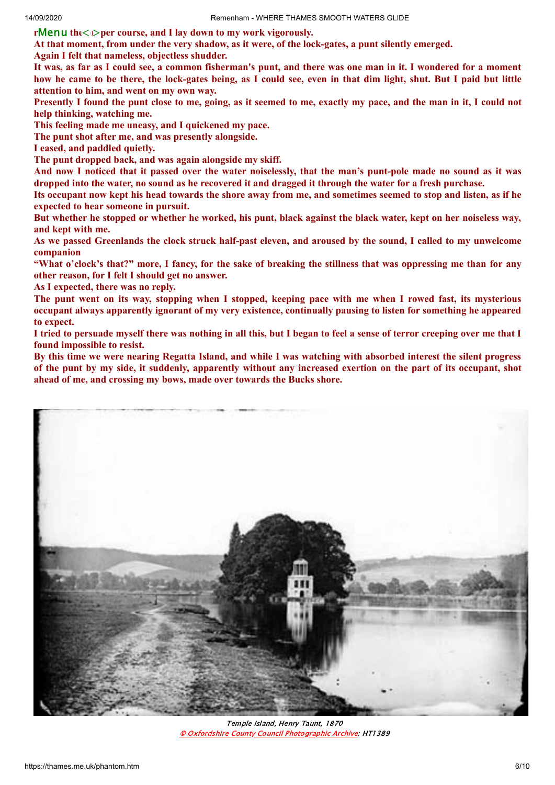${\bf r}$ Menu th $\epsilon$ <*i*>per course, and I lay down to my work vigorously.

At that moment, from under the very shadow, as it were, of the lock-gates, a punt silently emerged.

**Again I felt that nameless, objectless shudder.**

It was, as far as I could see, a common fisherman's punt, and there was one man in it. I wondered for a moment how he came to be there, the lock-gates being, as I could see, even in that dim light, shut. But I paid but little **attention to him, and went on my own way.**

Presently I found the punt close to me, going, as it seemed to me, exactly my pace, and the man in it, I could not **help thinking, watching me.**

**This feeling made me uneasy, and I quickened my pace.**

**The punt shot after me, and was presently alongside.**

**I eased, and paddled quietly.**

**The punt dropped back, and was again alongside my skiff.**

And now I noticed that it passed over the water noiselessly, that the man's punt-pole made no sound as it was dropped into the water, no sound as he recovered it and dragged it through the water for a fresh purchase.

Its occupant now kept his head towards the shore away from me, and sometimes seemed to stop and listen, as if he **expected to hear someone in pursuit.**

But whether he stopped or whether he worked, his punt, black against the black water, kept on her noiseless way, **and kept with me.**

As we passed Greenlands the clock struck half-past eleven, and aroused by the sound, I called to my unwelcome **companion**

"What o'clock's that?" more, I fancy, for the sake of breaking the stillness that was oppressing me than for any **other reason, for I felt I should get no answer.**

**As I expected, there was no reply.**

The punt went on its way, stopping when I stopped, keeping pace with me when I rowed fast, its mysterious occupant always apparently ignorant of my very existence, continually pausing to listen for something he appeared **to expect.**

I tried to persuade myself there was nothing in all this, but I began to feel a sense of terror creeping over me that I **found impossible to resist.**

By this time we were nearing Regatta Island, and while I was watching with absorbed interest the silent progress of the punt by my side, it suddenly, apparently without any increased exertion on the part of its occupant, shot **ahead of me, and crossing my bows, made over towards the Bucks shore.**



Temple Island, Henry Taunt, 1870 © Oxfordshire County Council [Photographic](http://www.oxfordshire.gov.uk/wps/portal/publicsite/doitonline/finditonline/heritage) Archive; HT1389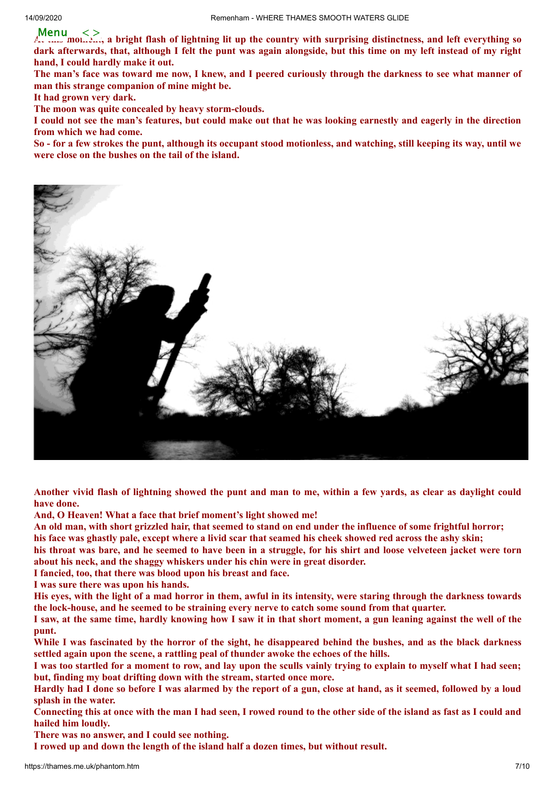Menu  $\langle \rangle$ <br>A,  $\langle \ldots \rangle$  moles and oright flash of lightning lit up the country with surprising distinctness, and left everything so dark afterwards, that, although I felt the punt was again alongside, but this time on my left instead of my right **hand, I could hardly make it out.**

The man's face was toward me now, I knew, and I peered curiously through the darkness to see what manner of **man this strange companion of mine might be.**

**It had grown very dark.**

**The moon was quite concealed by heavy storm-clouds.**

I could not see the man's features, but could make out that he was looking earnestly and eagerly in the direction **from which we had come.**

So - for a few strokes the punt, although its occupant stood motionless, and watching, still keeping its way, until we **were close on the bushes on the tail of the island.**



Another vivid flash of lightning showed the punt and man to me, within a few yards, as clear as daylight could **have done.**

**And, O Heaven! What a face that brief moment's light showed me!**

An old man, with short grizzled hair, that seemed to stand on end under the influence of some frightful horror; his face was ghastly pale, except where a livid scar that seamed his cheek showed red across the ashy skin;

his throat was bare, and he seemed to have been in a struggle, for his shirt and loose velveteen jacket were torn **about his neck, and the shaggy whiskers under his chin were in great disorder.**

**I fancied, too, that there was blood upon his breast and face.**

**I was sure there was upon his hands.**

His eyes, with the light of a mad horror in them, awful in its intensity, were staring through the darkness towards **the lock-house, and he seemed to be straining every nerve to catch some sound from that quarter.**

I saw, at the same time, hardly knowing how I saw it in that short moment, a gun leaning against the well of the **punt.**

While I was fascinated by the horror of the sight, he disappeared behind the bushes, and as the black darkness **settled again upon the scene, a rattling peal of thunder awoke the echoes of the hills.**

I was too startled for a moment to row, and lay upon the sculls vainly trying to explain to myself what I had seen; **but, finding my boat drifting down with the stream, started once more.**

Hardly had I done so before I was alarmed by the report of a gun, close at hand, as it seemed, followed by a loud **splash in the water.**

Connecting this at once with the man I had seen, I rowed round to the other side of the island as fast as I could and **hailed him loudly.**

**There was no answer, and I could see nothing.**

**I rowed up and down the length of the island half a dozen times, but without result.**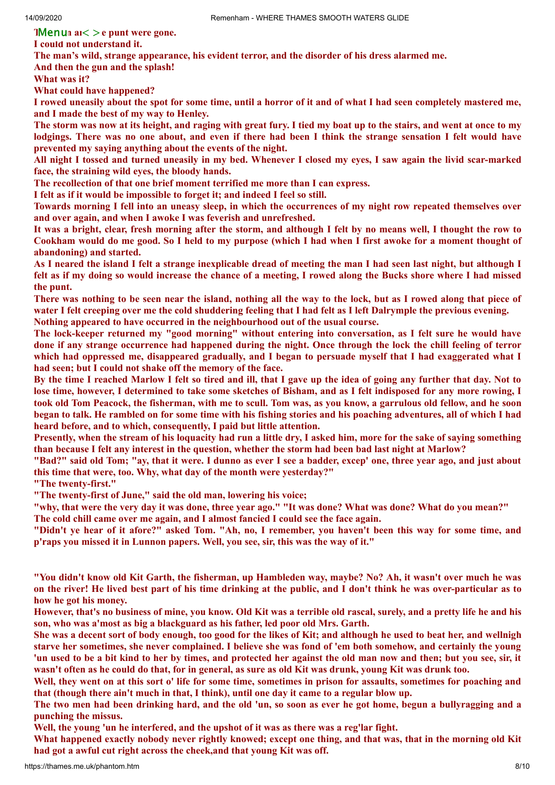**Thenum**  $a<sub>i</sub> > e$  punt were gone.

**I could not understand it.**

**The man's wild, strange appearance, his evident terror, and the disorder of his dress alarmed me.**

**And then the gun and the splash!**

**What was it?**

**What could have happened?**

I rowed uneasily about the spot for some time, until a horror of it and of what I had seen completely mastered me, **and I made the best of my way to Henley.**

The storm was now at its height, and raging with great fury. I tied my boat up to the stairs, and went at once to my lodgings. There was no one about, and even if there had been I think the strange sensation I felt would have **prevented my saying anything about the events of the night.**

All night I tossed and turned uneasily in my bed. Whenever I closed my eves. I saw again the livid scar-marked **face, the straining wild eyes, the bloody hands.**

**The recollection of that one brief moment terrified me more than I can express.**

**I felt as if it would be impossible to forget it; and indeed I feel so still.**

Towards morning I fell into an uneasy sleep, in which the occurrences of my night row repeated themselves over **and over again, and when I awoke I was feverish and unrefreshed.**

It was a bright, clear, fresh morning after the storm, and although I felt by no means well, I thought the row to Cookham would do me good. So I held to my purpose (which I had when I first awoke for a moment thought of **abandoning) and started.**

As I neared the island I felt a strange inexplicable dread of meeting the man I had seen last night, but although I felt as if my doing so would increase the chance of a meeting, I rowed along the Bucks shore where I had missed **the punt.**

There was nothing to be seen near the island, nothing all the way to the lock, but as I rowed along that piece of water I felt creeping over me the cold shuddering feeling that I had felt as I left Dalrymple the previous evening. **Nothing appeared to have occurred in the neighbourhood out of the usual course.**

The lock-keeper returned my "good morning" without entering into conversation, as I felt sure he would have done if any strange occurrence had happened during the night. Once through the lock the chill feeling of terror which had oppressed me, disappeared gradually, and I began to persuade myself that I had exaggerated what I **had seen; but I could not shake off the memory of the face.**

By the time I reached Marlow I felt so tired and ill, that I gave up the idea of going any further that day. Not to lose time, however, I determined to take some sketches of Bisham, and as I felt indisposed for any more rowing, I took old Tom Peacock, the fisherman, with me to scull. Tom was, as you know, a garrulous old fellow, and he soon began to talk. He rambled on for some time with his fishing stories and his poaching adventures, all of which I had **heard before, and to which, consequently, I paid but little attention.**

Presently, when the stream of his loquacity had run a little dry, I asked him, more for the sake of saying something than because I felt any interest in the question, whether the storm had been bad last night at Marlow?

"Bad?" said old Tom; "av, that it were. I dunno as ever I see a badder, excep' one, three year ago, and just about **this time that were, too. Why, what day of the month were yesterday?"**

**"The twenty-first."**

**"The twenty-first of June," said the old man, lowering his voice;**

"why, that were the very day it was done, three year ago." "It was done? What was done? What do you mean?"

**The cold chill came over me again, and I almost fancied I could see the face again.**

"Didn't ye hear of it afore?" asked Tom. "Ah, no, I remember, you haven't been this way for some time, and **p'raps you missed it in Lunnon papers. Well, you see, sir, this was the way of it."**

"You didn't know old Kit Garth, the fisherman, up Hambleden way, maybe? No? Ah, it wasn't over much he was on the river! He lived best part of his time drinking at the public, and I don't think he was over-particular as to **how he got his money.**

However, that's no business of mine, you know. Old Kit was a terrible old rascal, surely, and a pretty life he and his **son, who was a'most as big a blackguard as his father, led poor old Mrs. Garth.**

She was a decent sort of body enough, too good for the likes of Kit; and although he used to beat her, and wellnigh starve her sometimes, she never complained. I believe she was fond of 'em both somehow, and certainly the young 'un used to be a bit kind to her by times, and protected her against the old man now and then; but you see, sir, it wasn't often as he could do that, for in general, as sure as old Kit was drunk, young Kit was drunk too.

Well, they went on at this sort o' life for some time, sometimes in prison for assaults, sometimes for poaching and that (though there ain't much in that, I think), until one day it came to a regular blow up.

The two men had been drinking hard, and the old 'un, so soon as ever he got home, begun a bullyragging and a **punching the missus.**

**Well, the young 'un he interfered, and the upshot of it was as there was a reg'lar fight.**

What happened exactly nobody never rightly knowed; except one thing, and that was, that in the morning old Kit **had got a awful cut right across the cheek,and that young Kit was off.**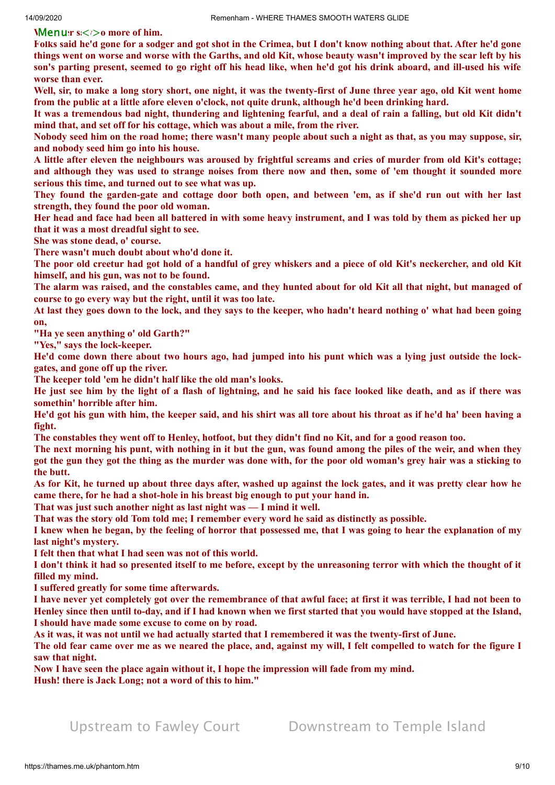**Wenuar s** $\lt$  i > 0 more of him.

Folks said he'd gone for a sodger and got shot in the Crimea, but I don't know nothing about that. After he'd gone things went on worse and worse with the Garths, and old Kit, whose beauty wasn't improved by the scar left by his son's parting present, seemed to go right off his head like, when he'd got his drink aboard, and ill-used his wife **worse than ever.**

Well, sir, to make a long story short, one night, it was the twenty-first of June three year ago, old Kit went home **from the public at a little afore eleven o'clock, not quite drunk, although he'd been drinking hard.**

It was a tremendous bad night, thundering and lightening fearful, and a deal of rain a falling, but old Kit didn't **mind that, and set off for his cottage, which was about a mile, from the river.**

Nobody seed him on the road home; there wasn't many people about such a night as that, as you may suppose, sir, **and nobody seed him go into his house.**

A little after eleven the neighbours was aroused by frightful screams and cries of murder from old Kit's cottage: and although they was used to strange noises from there now and then, some of 'em thought it sounded more **serious this time, and turned out to see what was up.**

They found the garden-gate and cottage door both open, and between 'em, as if she'd run out with her last **strength, they found the poor old woman.**

Her head and face had been all battered in with some heavy instrument, and I was told by them as picked her up **that it was a most dreadful sight to see.**

**She was stone dead, o' course.**

**There wasn't much doubt about who'd done it.**

The poor old creetur had got hold of a handful of grey whiskers and a piece of old Kit's neckercher, and old Kit **himself, and his gun, was not to be found.**

The alarm was raised, and the constables came, and they hunted about for old Kit all that night, but managed of **course to go every way but the right, until it was too late.**

At last they goes down to the lock, and they says to the keeper, who hadn't heard nothing o' what had been going **on,**

**"Ha ye seen anything o' old Garth?"**

**"Yes," says the lock-keeper.**

He'd come down there about two hours ago, had jumped into his punt which was a lying just outside the lock**gates, and gone off up the river.**

**The keeper told 'em he didn't half like the old man's looks.**

He just see him by the light of a flash of lightning, and he said his face looked like death, and as if there was **somethin' horrible after him.**

He'd got his gun with him, the keeper said, and his shirt was all tore about his throat as if he'd ha' been having a **fight.**

The constables they went off to Henley, hotfoot, but they didn't find no Kit, and for a good reason too.

The next morning his punt, with nothing in it but the gun, was found among the piles of the weir, and when they got the gun they got the thing as the murder was done with, for the poor old woman's grey hair was a sticking to **the butt.**

As for Kit, he turned up about three days after, washed up against the lock gates, and it was pretty clear how he **came there, for he had a shot-hole in his breast big enough to put your hand in.**

**That was just such another night as last night was — I mind it well.**

**That was the story old Tom told me; I remember every word he said as distinctly as possible.**

I knew when he began, by the feeling of horror that possessed me, that I was going to hear the explanation of my **last night's mystery.**

**I felt then that what I had seen was not of this world.**

I don't think it had so presented itself to me before, except by the unreasoning terror with which the thought of it **filled my mind.**

**I suffered greatly for some time afterwards.**

I have never yet completely got over the remembrance of that awful face; at first it was terrible. I had not been to Henley since then until to-day, and if I had known when we first started that you would have stopped at the Island, **I should have made some excuse to come on by road.**

As it was, it was not until we had actually started that I remembered it was the twenty-first of June.

The old fear came over me as we neared the place, and, against my will, I felt compelled to watch for the figure I **saw that night.**

**Now I have seen the place again without it, I hope the impression will fade from my mind. Hush! there is Jack Long; not a word of this to him."**